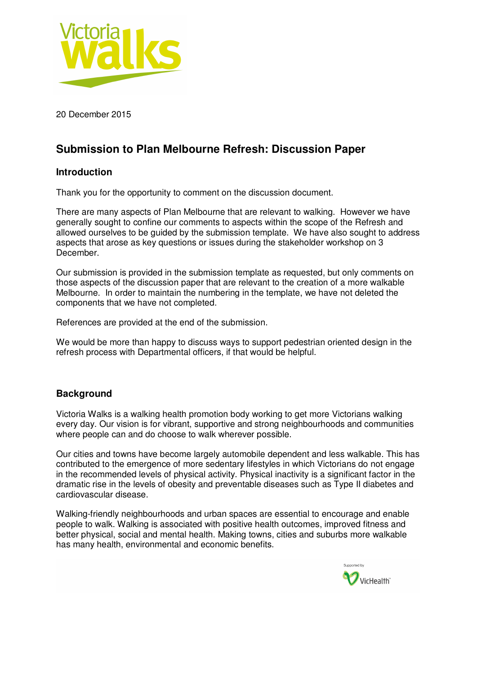

20 December 2015

# **Submission to Plan Melbourne Refresh: Discussion Paper**

## **Introduction**

Thank you for the opportunity to comment on the discussion document.

There are many aspects of Plan Melbourne that are relevant to walking. However we have generally sought to confine our comments to aspects within the scope of the Refresh and allowed ourselves to be guided by the submission template. We have also sought to address aspects that arose as key questions or issues during the stakeholder workshop on 3 December.

Our submission is provided in the submission template as requested, but only comments on those aspects of the discussion paper that are relevant to the creation of a more walkable Melbourne. In order to maintain the numbering in the template, we have not deleted the components that we have not completed.

References are provided at the end of the submission.

We would be more than happy to discuss ways to support pedestrian oriented design in the refresh process with Departmental officers, if that would be helpful.

## **Background**

Victoria Walks is a walking health promotion body working to get more Victorians walking every day. Our vision is for vibrant, supportive and strong neighbourhoods and communities where people can and do choose to walk wherever possible.

Our cities and towns have become largely automobile dependent and less walkable. This has contributed to the emergence of more sedentary lifestyles in which Victorians do not engage in the recommended levels of physical activity. Physical inactivity is a significant factor in the dramatic rise in the levels of obesity and preventable diseases such as Type II diabetes and cardiovascular disease.

Walking-friendly neighbourhoods and urban spaces are essential to encourage and enable people to walk. Walking is associated with positive health outcomes, improved fitness and better physical, social and mental health. Making towns, cities and suburbs more walkable has many health, environmental and economic benefits.

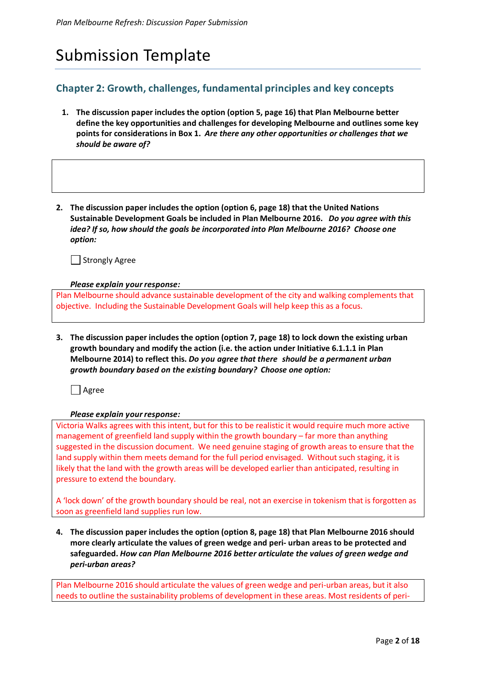# Submission Template

# **Chapter 2: Growth, challenges, fundamental principles and key concepts**

- **1. The discussion paper includes the option (option 5, page 16) that Plan Melbourne better define the key opportunities and challenges for developing Melbourne and outlines some key points for considerations in Box 1.** *Are there any other opportunities or challenges that we should be aware of?*
- **2. The discussion paper includes the option (option 6, page 18) that the United Nations Sustainable Development Goals be included in Plan Melbourne 2016.** *Do you agree with this idea? If so, how should the goals be incorporated into Plan Melbourne 2016? Choose one option:*

Strongly Agree

*Please explain your response:* 

Plan Melbourne should advance sustainable development of the city and walking complements that objective. Including the Sustainable Development Goals will help keep this as a focus.

**3. The discussion paper includes the option (option 7, page 18) to lock down the existing urban growth boundary and modify the action (i.e. the action under Initiative 6.1.1.1 in Plan Melbourne 2014) to reflect this.** *Do you agree that there should be a permanent urban growth boundary based on the existing boundary? Choose one option:*

 $\Box$  Agree

#### *Please explain your response:*

Victoria Walks agrees with this intent, but for this to be realistic it would require much more active management of greenfield land supply within the growth boundary – far more than anything suggested in the discussion document. We need genuine staging of growth areas to ensure that the land supply within them meets demand for the full period envisaged. Without such staging, it is likely that the land with the growth areas will be developed earlier than anticipated, resulting in pressure to extend the boundary.

A 'lock down' of the growth boundary should be real, not an exercise in tokenism that is forgotten as soon as greenfield land supplies run low.

**4. The discussion paper includes the option (option 8, page 18) that Plan Melbourne 2016 should more clearly articulate the values of green wedge and peri- urban areas to be protected and safeguarded.** *How can Plan Melbourne 2016 better articulate the values of green wedge and peri-urban areas?*

Plan Melbourne 2016 should articulate the values of green wedge and peri-urban areas, but it also needs to outline the sustainability problems of development in these areas. Most residents of peri-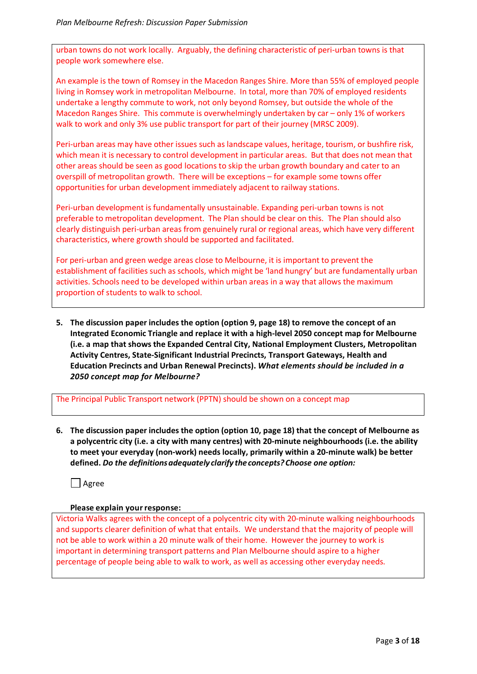urban towns do not work locally. Arguably, the defining characteristic of peri-urban towns is that people work somewhere else.

An example is the town of Romsey in the Macedon Ranges Shire. More than 55% of employed people living in Romsey work in metropolitan Melbourne. In total, more than 70% of employed residents undertake a lengthy commute to work, not only beyond Romsey, but outside the whole of the Macedon Ranges Shire. This commute is overwhelmingly undertaken by car – only 1% of workers walk to work and only 3% use public transport for part of their journey (MRSC 2009).

Peri-urban areas may have other issues such as landscape values, heritage, tourism, or bushfire risk, which mean it is necessary to control development in particular areas. But that does not mean that other areas should be seen as good locations to skip the urban growth boundary and cater to an overspill of metropolitan growth. There will be exceptions – for example some towns offer opportunities for urban development immediately adjacent to railway stations.

Peri-urban development is fundamentally unsustainable. Expanding peri-urban towns is not preferable to metropolitan development. The Plan should be clear on this. The Plan should also clearly distinguish peri-urban areas from genuinely rural or regional areas, which have very different characteristics, where growth should be supported and facilitated.

For peri-urban and green wedge areas close to Melbourne, it is important to prevent the establishment of facilities such as schools, which might be 'land hungry' but are fundamentally urban activities. Schools need to be developed within urban areas in a way that allows the maximum proportion of students to walk to school.

**5. The discussion paper includes the option (option 9, page 18) to remove the concept of an Integrated Economic Triangle and replace it with a high-level 2050 concept map for Melbourne (i.e. a map that shows the Expanded Central City, National Employment Clusters, Metropolitan Activity Centres, State-Significant Industrial Precincts, Transport Gateways, Health and Education Precincts and Urban Renewal Precincts).** *What elements should be included in a 2050 concept map for Melbourne?*

The Principal Public Transport network (PPTN) should be shown on a concept map

**6. The discussion paper includes the option (option 10, page 18) that the concept of Melbourne as a polycentric city (i.e. a city with many centres) with 20-minute neighbourhoods (i.e. the ability to meet your everyday (non-work) needs locally, primarily within a 20-minute walk) be better defined.** *Do the definitions adequately clarify the concepts? Choose one option:*

Agree

#### **Please explain your response:**

Victoria Walks agrees with the concept of a polycentric city with 20-minute walking neighbourhoods and supports clearer definition of what that entails. We understand that the majority of people will not be able to work within a 20 minute walk of their home. However the journey to work is important in determining transport patterns and Plan Melbourne should aspire to a higher percentage of people being able to walk to work, as well as accessing other everyday needs.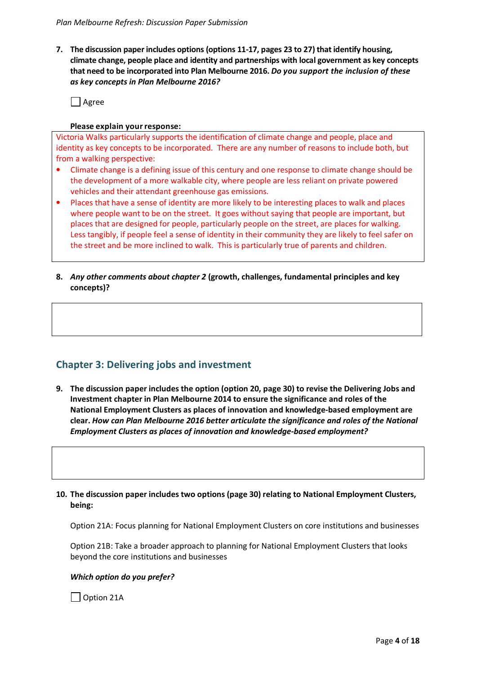**7. The discussion paper includes options (options 11-17, pages 23 to 27) that identify housing, climate change, people place and identity and partnerships with local government as key concepts that need to be incorporated into Plan Melbourne 2016.** *Do you support the inclusion of these as key concepts in Plan Melbourne 2016?* 

 $\Box$  Agree

#### **Please explain your response:**

Victoria Walks particularly supports the identification of climate change and people, place and identity as key concepts to be incorporated. There are any number of reasons to include both, but from a walking perspective:

- Climate change is a defining issue of this century and one response to climate change should be the development of a more walkable city, where people are less reliant on private powered vehicles and their attendant greenhouse gas emissions.
- Places that have a sense of identity are more likely to be interesting places to walk and places where people want to be on the street. It goes without saying that people are important, but places that are designed for people, particularly people on the street, are places for walking. Less tangibly, if people feel a sense of identity in their community they are likely to feel safer on the street and be more inclined to walk. This is particularly true of parents and children.
- **8.** *Any other comments about chapter 2* **(growth, challenges, fundamental principles and key concepts)?**

# **Chapter 3: Delivering jobs and investment**

**9. The discussion paper includes the option (option 20, page 30) to revise the Delivering Jobs and Investment chapter in Plan Melbourne 2014 to ensure the significance and roles of the National Employment Clusters as places of innovation and knowledge-based employment are clear.** *How can Plan Melbourne 2016 better articulate the significance and roles of the National Employment Clusters as places of innovation and knowledge-based employment?*

#### **10. The discussion paper includes two options (page 30) relating to National Employment Clusters, being:**

Option 21A: Focus planning for National Employment Clusters on core institutions and businesses

Option 21B: Take a broader approach to planning for National Employment Clusters that looks beyond the core institutions and businesses

#### *Which option do you prefer?*

Option 21A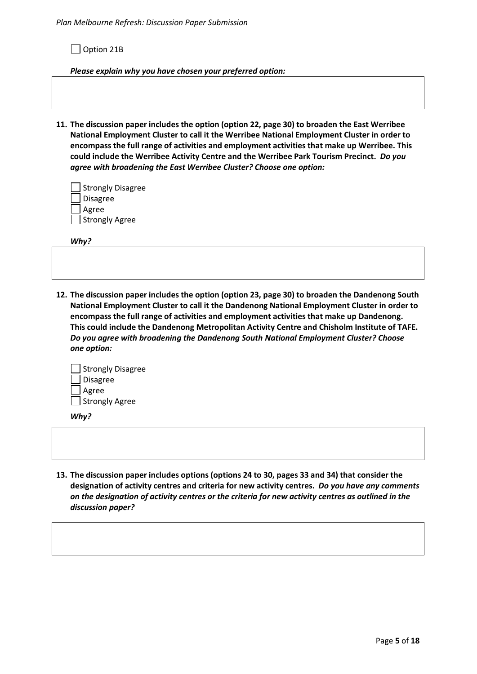Option 21B

*Please explain why you have chosen your preferred option:* 

**11. The discussion paper includes the option (option 22, page 30) to broaden the East Werribee National Employment Cluster to call it the Werribee National Employment Cluster in order to encompass the full range of activities and employment activities that make up Werribee. This could include the Werribee Activity Centre and the Werribee Park Tourism Precinct.** *Do you agree with broadening the East Werribee Cluster? Choose one option:*

| Strongly Disagree |
|-------------------|
| Disagree          |
| Agree             |
| Strongly Agree    |

*Why?* 

**12. The discussion paper includes the option (option 23, page 30) to broaden the Dandenong South National Employment Cluster to call it the Dandenong National Employment Cluster in order to encompass the full range of activities and employment activities that make up Dandenong. This could include the Dandenong Metropolitan Activity Centre and Chisholm Institute of TAFE.**  *Do you agree with broadening the Dandenong South National Employment Cluster? Choose one option:*



*Why?* 

**13. The discussion paper includes options (options 24 to 30, pages 33 and 34) that consider the designation of activity centres and criteria for new activity centres.** *Do you have any comments on the designation of activity centres or the criteria for new activity centres as outlined in the discussion paper?*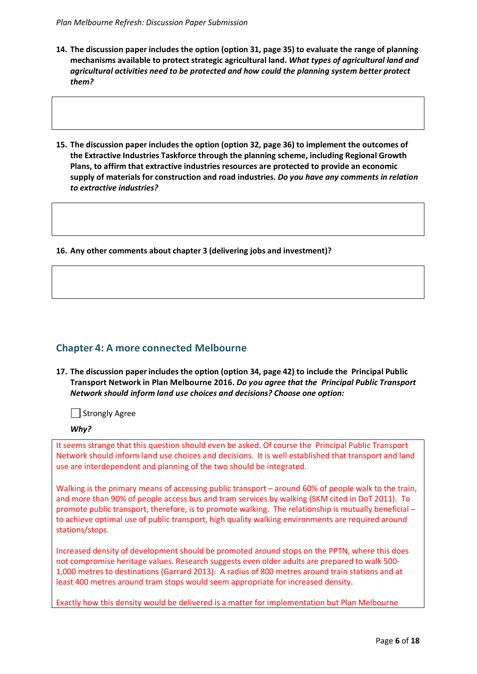- **14. The discussion paper includes the option (option 31, page 35) to evaluate the range of planning mechanisms available to protect strategic agricultural land.** *What types of agricultural land and agricultural activities need to be protected and how could the planning system better protect them?*
- **15. The discussion paper includes the option (option 32, page 36) to implement the outcomes of the Extractive Industries Taskforce through the planning scheme, including Regional Growth Plans, to affirm that extractive industries resources are protected to provide an economic supply of materials for construction and road industries.** *Do you have any comments in relation to extractive industries?*

**16. Any other comments about chapter 3 (delivering jobs and investment)?** 

## **Chapter 4: A more connected Melbourne**

**17. The discussion paper includes the option (option 34, page 42) to include the Principal Public Transport Network in Plan Melbourne 2016.** *Do you agree that the Principal Public Transport Network should inform land use choices and decisions? Choose one option:*

Strongly Agree

#### *Why?*

It seems strange that this question should even be asked. Of course the Principal Public Transport Network should inform land use choices and decisions. It is well established that transport and land use are interdependent and planning of the two should be integrated.

Walking is the primary means of accessing public transport – around 60% of people walk to the train, and more than 90% of people access bus and tram services by walking (SKM cited in DoT 2011). To promote public transport, therefore, is to promote walking. The relationship is mutually beneficial – to achieve optimal use of public transport, high quality walking environments are required around stations/stops.

Increased density of development should be promoted around stops on the PPTN, where this does not compromise heritage values. Research suggests even older adults are prepared to walk 500- 1,000 metres to destinations (Garrard 2013). A radius of 800 metres around train stations and at least 400 metres around tram stops would seem appropriate for increased density.

Exactly how this density would be delivered is a matter for implementation but Plan Melbourne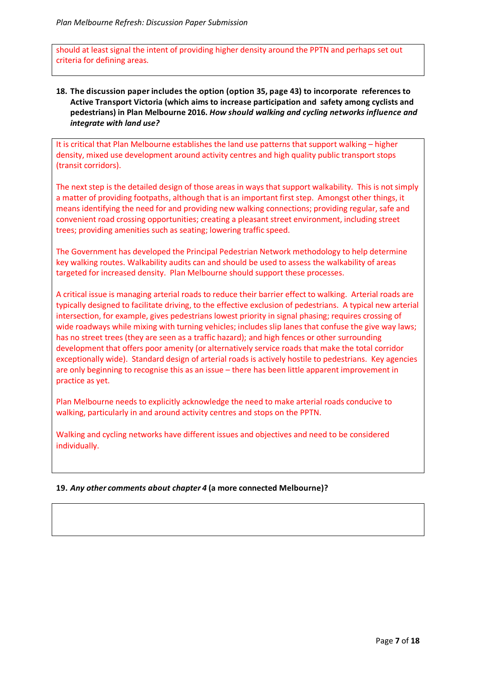should at least signal the intent of providing higher density around the PPTN and perhaps set out criteria for defining areas.

**18. The discussion paper includes the option (option 35, page 43) to incorporate references to Active Transport Victoria (which aims to increase participation and safety among cyclists and pedestrians) in Plan Melbourne 2016.** *How should walking and cycling networks influence and integrate with land use?* 

It is critical that Plan Melbourne establishes the land use patterns that support walking – higher density, mixed use development around activity centres and high quality public transport stops (transit corridors).

The next step is the detailed design of those areas in ways that support walkability. This is not simply a matter of providing footpaths, although that is an important first step. Amongst other things, it means identifying the need for and providing new walking connections; providing regular, safe and convenient road crossing opportunities; creating a pleasant street environment, including street trees; providing amenities such as seating; lowering traffic speed.

The Government has developed the Principal Pedestrian Network methodology to help determine key walking routes. Walkability audits can and should be used to assess the walkability of areas targeted for increased density. Plan Melbourne should support these processes.

A critical issue is managing arterial roads to reduce their barrier effect to walking. Arterial roads are typically designed to facilitate driving, to the effective exclusion of pedestrians. A typical new arterial intersection, for example, gives pedestrians lowest priority in signal phasing; requires crossing of wide roadways while mixing with turning vehicles; includes slip lanes that confuse the give way laws; has no street trees (they are seen as a traffic hazard); and high fences or other surrounding development that offers poor amenity (or alternatively service roads that make the total corridor exceptionally wide). Standard design of arterial roads is actively hostile to pedestrians. Key agencies are only beginning to recognise this as an issue – there has been little apparent improvement in practice as yet.

Plan Melbourne needs to explicitly acknowledge the need to make arterial roads conducive to walking, particularly in and around activity centres and stops on the PPTN.

Walking and cycling networks have different issues and objectives and need to be considered individually.

#### **19.** *Any other comments about chapter 4* **(a more connected Melbourne)?**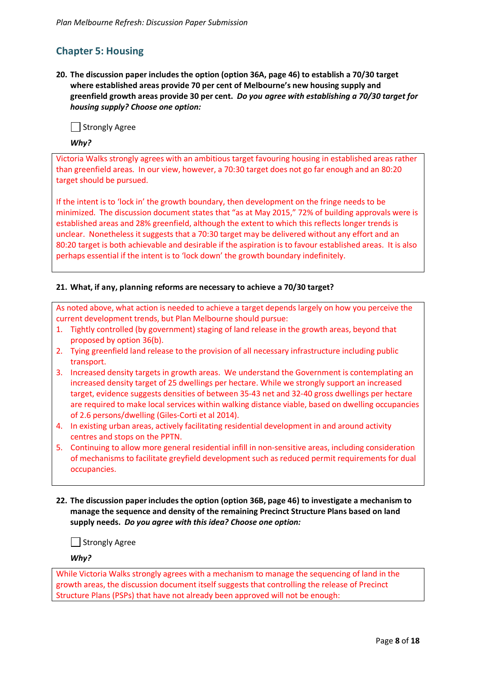# **Chapter 5: Housing**

**20. The discussion paper includes the option (option 36A, page 46) to establish a 70/30 target where established areas provide 70 per cent of Melbourne's new housing supply and greenfield growth areas provide 30 per cent.** *Do you agree with establishing a 70/30 target for housing supply? Choose one option:*

Strongly Agree

#### *Why?*

Victoria Walks strongly agrees with an ambitious target favouring housing in established areas rather than greenfield areas. In our view, however, a 70:30 target does not go far enough and an 80:20 target should be pursued.

If the intent is to 'lock in' the growth boundary, then development on the fringe needs to be minimized. The discussion document states that "as at May 2015," 72% of building approvals were is established areas and 28% greenfield, although the extent to which this reflects longer trends is unclear. Nonetheless it suggests that a 70:30 target may be delivered without any effort and an 80:20 target is both achievable and desirable if the aspiration is to favour established areas. It is also perhaps essential if the intent is to 'lock down' the growth boundary indefinitely.

#### **21. What, if any, planning reforms are necessary to achieve a 70/30 target?**

As noted above, what action is needed to achieve a target depends largely on how you perceive the current development trends, but Plan Melbourne should pursue:

- 1. Tightly controlled (by government) staging of land release in the growth areas, beyond that proposed by option 36(b).
- 2. Tying greenfield land release to the provision of all necessary infrastructure including public transport.
- 3. Increased density targets in growth areas. We understand the Government is contemplating an increased density target of 25 dwellings per hectare. While we strongly support an increased target, evidence suggests densities of between 35-43 net and 32-40 gross dwellings per hectare are required to make local services within walking distance viable, based on dwelling occupancies of 2.6 persons/dwelling (Giles-Corti et al 2014).
- 4. In existing urban areas, actively facilitating residential development in and around activity centres and stops on the PPTN.
- 5. Continuing to allow more general residential infill in non-sensitive areas, including consideration of mechanisms to facilitate greyfield development such as reduced permit requirements for dual occupancies.
- **22. The discussion paper includes the option (option 36B, page 46) to investigate a mechanism to manage the sequence and density of the remaining Precinct Structure Plans based on land supply needs.** *Do you agree with this idea? Choose one option:*

Strongly Agree

*Why?* 

While Victoria Walks strongly agrees with a mechanism to manage the sequencing of land in the growth areas, the discussion document itself suggests that controlling the release of Precinct Structure Plans (PSPs) that have not already been approved will not be enough: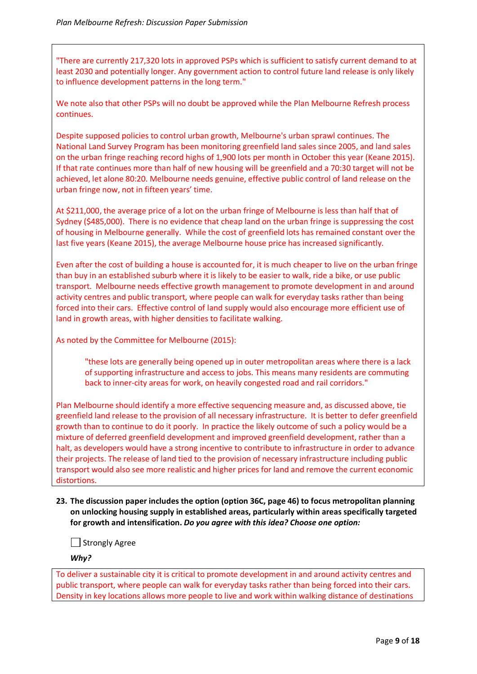"There are currently 217,320 lots in approved PSPs which is sufficient to satisfy current demand to at least 2030 and potentially longer. Any government action to control future land release is only likely to influence development patterns in the long term."

We note also that other PSPs will no doubt be approved while the Plan Melbourne Refresh process continues.

Despite supposed policies to control urban growth, Melbourne's urban sprawl continues. The National Land Survey Program has been monitoring greenfield land sales since 2005, and land sales on the urban fringe reaching record highs of 1,900 lots per month in October this year (Keane 2015). If that rate continues more than half of new housing will be greenfield and a 70:30 target will not be achieved, let alone 80:20. Melbourne needs genuine, effective public control of land release on the urban fringe now, not in fifteen years' time.

At \$211,000, the average price of a lot on the urban fringe of Melbourne is less than half that of Sydney (\$485,000). There is no evidence that cheap land on the urban fringe is suppressing the cost of housing in Melbourne generally. While the cost of greenfield lots has remained constant over the last five years (Keane 2015), the average Melbourne house price has increased significantly.

Even after the cost of building a house is accounted for, it is much cheaper to live on the urban fringe than buy in an established suburb where it is likely to be easier to walk, ride a bike, or use public transport. Melbourne needs effective growth management to promote development in and around activity centres and public transport, where people can walk for everyday tasks rather than being forced into their cars. Effective control of land supply would also encourage more efficient use of land in growth areas, with higher densities to facilitate walking.

As noted by the Committee for Melbourne (2015):

"these lots are generally being opened up in outer metropolitan areas where there is a lack of supporting infrastructure and access to jobs. This means many residents are commuting back to inner-city areas for work, on heavily congested road and rail corridors."

Plan Melbourne should identify a more effective sequencing measure and, as discussed above, tie greenfield land release to the provision of all necessary infrastructure. It is better to defer greenfield growth than to continue to do it poorly. In practice the likely outcome of such a policy would be a mixture of deferred greenfield development and improved greenfield development, rather than a halt, as developers would have a strong incentive to contribute to infrastructure in order to advance their projects. The release of land tied to the provision of necessary infrastructure including public transport would also see more realistic and higher prices for land and remove the current economic distortions.

**23. The discussion paper includes the option (option 36C, page 46) to focus metropolitan planning on unlocking housing supply in established areas, particularly within areas specifically targeted for growth and intensification.** *Do you agree with this idea? Choose one option:*

Strongly Agree

*Why?* 

To deliver a sustainable city it is critical to promote development in and around activity centres and public transport, where people can walk for everyday tasks rather than being forced into their cars. Density in key locations allows more people to live and work within walking distance of destinations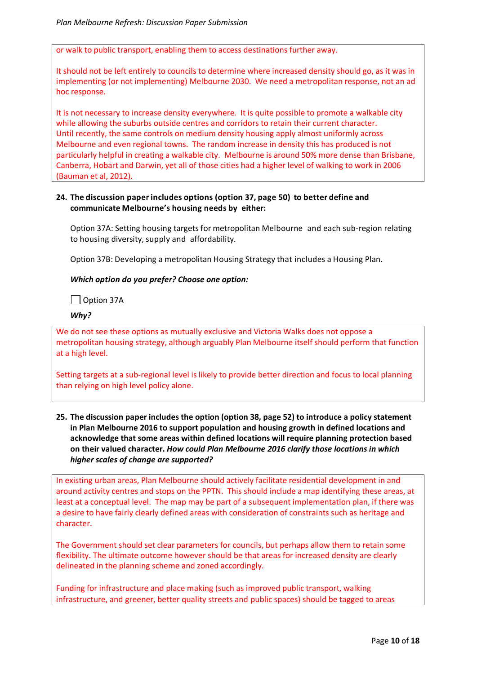or walk to public transport, enabling them to access destinations further away.

It should not be left entirely to councils to determine where increased density should go, as it was in implementing (or not implementing) Melbourne 2030. We need a metropolitan response, not an ad hoc response.

It is not necessary to increase density everywhere. It is quite possible to promote a walkable city while allowing the suburbs outside centres and corridors to retain their current character. Until recently, the same controls on medium density housing apply almost uniformly across Melbourne and even regional towns. The random increase in density this has produced is not particularly helpful in creating a walkable city. Melbourne is around 50% more dense than Brisbane, Canberra, Hobart and Darwin, yet all of those cities had a higher level of walking to work in 2006 (Bauman et al, 2012).

#### **24. The discussion paper includes options (option 37, page 50) to better define and communicate Melbourne's housing needs by either:**

Option 37A: Setting housing targets for metropolitan Melbourne and each sub-region relating to housing diversity, supply and affordability.

Option 37B: Developing a metropolitan Housing Strategy that includes a Housing Plan.

#### *Which option do you prefer? Choose one option:*

□ Option 37A

*Why?* 

We do not see these options as mutually exclusive and Victoria Walks does not oppose a metropolitan housing strategy, although arguably Plan Melbourne itself should perform that function at a high level.

Setting targets at a sub-regional level is likely to provide better direction and focus to local planning than relying on high level policy alone.

**25. The discussion paper includes the option (option 38, page 52) to introduce a policy statement in Plan Melbourne 2016 to support population and housing growth in defined locations and acknowledge that some areas within defined locations will require planning protection based on their valued character.** *How could Plan Melbourne 2016 clarify those locations in which higher scales of change are supported?* 

In existing urban areas, Plan Melbourne should actively facilitate residential development in and around activity centres and stops on the PPTN. This should include a map identifying these areas, at least at a conceptual level. The map may be part of a subsequent implementation plan, if there was a desire to have fairly clearly defined areas with consideration of constraints such as heritage and character.

The Government should set clear parameters for councils, but perhaps allow them to retain some flexibility. The ultimate outcome however should be that areas for increased density are clearly delineated in the planning scheme and zoned accordingly.

Funding for infrastructure and place making (such as improved public transport, walking infrastructure, and greener, better quality streets and public spaces) should be tagged to areas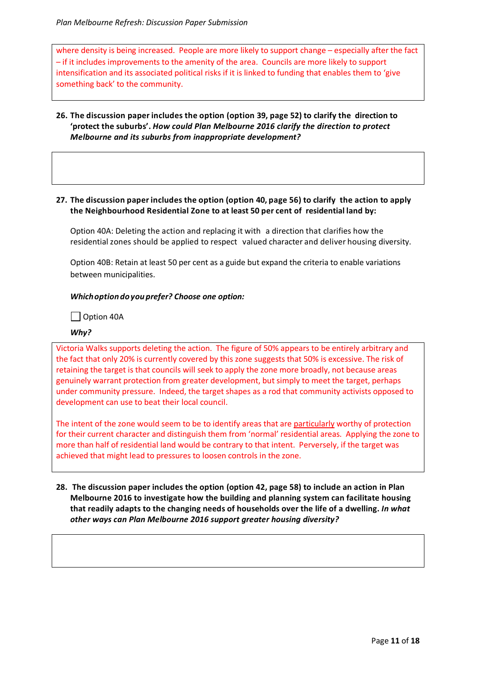where density is being increased. People are more likely to support change – especially after the fact – if it includes improvements to the amenity of the area. Councils are more likely to support intensification and its associated political risks if it is linked to funding that enables them to 'give something back' to the community.

**26. The discussion paper includes the option (option 39, page 52) to clarify the direction to 'protect the suburbs'.** *How could Plan Melbourne 2016 clarify the direction to protect Melbourne and its suburbs from inappropriate development?* 

#### **27. The discussion paper includes the option (option 40, page 56) to clarify the action to apply the Neighbourhood Residential Zone to at least 50 per cent of residential land by:**

Option 40A: Deleting the action and replacing it with a direction that clarifies how the residential zones should be applied to respect valued character and deliver housing diversity.

Option 40B: Retain at least 50 per cent as a guide but expand the criteria to enable variations between municipalities.

#### *Which option do you prefer? Choose one option:*

Option 40A

#### *Why?*

Victoria Walks supports deleting the action. The figure of 50% appears to be entirely arbitrary and the fact that only 20% is currently covered by this zone suggests that 50% is excessive. The risk of retaining the target is that councils will seek to apply the zone more broadly, not because areas genuinely warrant protection from greater development, but simply to meet the target, perhaps under community pressure. Indeed, the target shapes as a rod that community activists opposed to development can use to beat their local council.

The intent of the zone would seem to be to identify areas that are particularly worthy of protection for their current character and distinguish them from 'normal' residential areas. Applying the zone to more than half of residential land would be contrary to that intent. Perversely, if the target was achieved that might lead to pressures to loosen controls in the zone.

**28. The discussion paper includes the option (option 42, page 58) to include an action in Plan Melbourne 2016 to investigate how the building and planning system can facilitate housing that readily adapts to the changing needs of households over the life of a dwelling.** *In what other ways can Plan Melbourne 2016 support greater housing diversity?*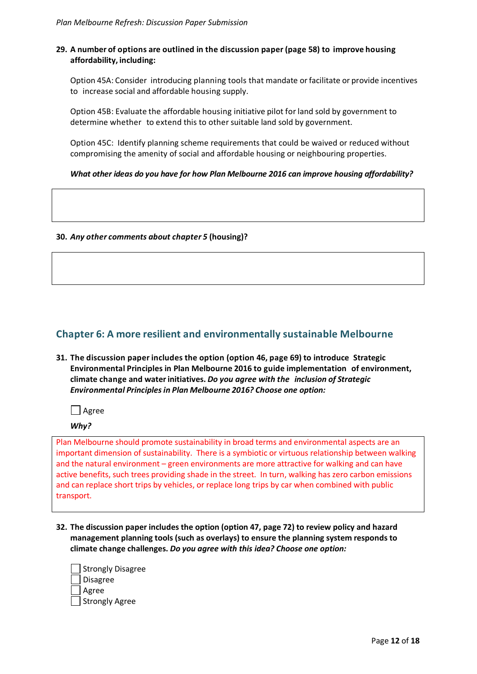#### **29. A number of options are outlined in the discussion paper (page 58) to improve housing affordability, including:**

Option 45A: Consider introducing planning tools that mandate or facilitate or provide incentives to increase social and affordable housing supply.

Option 45B: Evaluate the affordable housing initiative pilot for land sold by government to determine whether to extend this to other suitable land sold by government.

Option 45C: Identify planning scheme requirements that could be waived or reduced without compromising the amenity of social and affordable housing or neighbouring properties.

#### *What other ideas do you have for how Plan Melbourne 2016 can improve housing affordability?*

#### **30.** *Any other comments about chapter 5* **(housing)?**

## **Chapter 6: A more resilient and environmentally sustainable Melbourne**

**31. The discussion paper includes the option (option 46, page 69) to introduce Strategic Environmental Principles in Plan Melbourne 2016 to guide implementation of environment, climate change and water initiatives.** *Do you agree with the inclusion of Strategic Environmental Principles in Plan Melbourne 2016? Choose one option:*

| Agree

*Why?* 

Plan Melbourne should promote sustainability in broad terms and environmental aspects are an important dimension of sustainability. There is a symbiotic or virtuous relationship between walking and the natural environment – green environments are more attractive for walking and can have active benefits, such trees providing shade in the street. In turn, walking has zero carbon emissions and can replace short trips by vehicles, or replace long trips by car when combined with public transport.

**32. The discussion paper includes the option (option 47, page 72) to review policy and hazard management planning tools (such as overlays) to ensure the planning system responds to climate change challenges.** *Do you agree with this idea? Choose one option:*

| Strongly Disagree |  |
|-------------------|--|
| J Disagree        |  |
| Agree             |  |
| Strongly Agree    |  |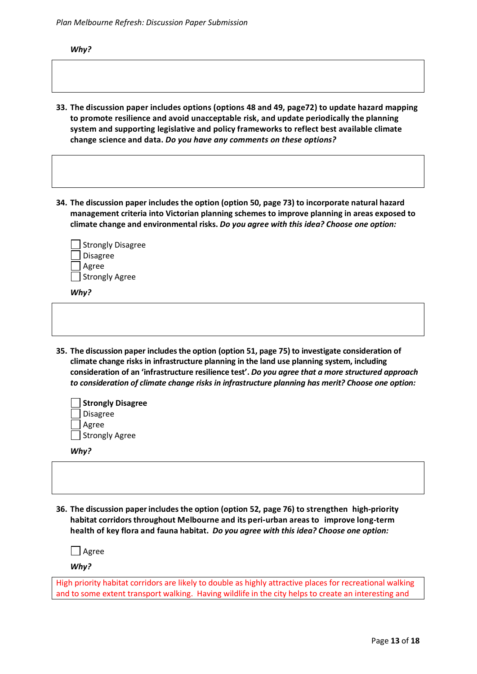*Why?* 

- **33. The discussion paper includes options (options 48 and 49, page72) to update hazard mapping to promote resilience and avoid unacceptable risk, and update periodically the planning system and supporting legislative and policy frameworks to reflect best available climate change science and data.** *Do you have any comments on these options?*
- **34. The discussion paper includes the option (option 50, page 73) to incorporate natural hazard management criteria into Victorian planning schemes to improve planning in areas exposed to climate change and environmental risks.** *Do you agree with this idea? Choose one option:*

| Strongly Disagree |
|-------------------|
| Disagree          |
| Agree             |
| Strongly Agree    |
|                   |

*Why?* 

**35. The discussion paper includes the option (option 51, page 75) to investigate consideration of climate change risks in infrastructure planning in the land use planning system, including consideration of an 'infrastructure resilience test'.** *Do you agree that a more structured approach to consideration of climate change risks in infrastructure planning has merit? Choose one option:*

| Strongly Disagree |
|-------------------|
| Disagree          |
| Agree             |
| Strongly Agree    |

*Why?* 

**36. The discussion paper includes the option (option 52, page 76) to strengthen high-priority habitat corridors throughout Melbourne and its peri-urban areas to improve long-term health of key flora and fauna habitat.** *Do you agree with this idea? Choose one option:*

Agree

*Why?* 

High priority habitat corridors are likely to double as highly attractive places for recreational walking and to some extent transport walking. Having wildlife in the city helps to create an interesting and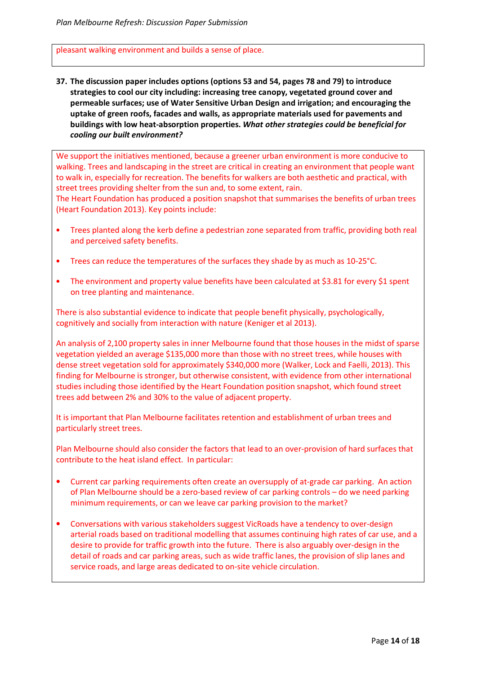pleasant walking environment and builds a sense of place.

**37. The discussion paper includes options (options 53 and 54, pages 78 and 79) to introduce strategies to cool our city including: increasing tree canopy, vegetated ground cover and permeable surfaces; use of Water Sensitive Urban Design and irrigation; and encouraging the uptake of green roofs, facades and walls, as appropriate materials used for pavements and buildings with low heat-absorption properties.** *What other strategies could be beneficial for cooling our built environment?*

We support the initiatives mentioned, because a greener urban environment is more conducive to walking. Trees and landscaping in the street are critical in creating an environment that people want to walk in, especially for recreation. The benefits for walkers are both aesthetic and practical, with street trees providing shelter from the sun and, to some extent, rain.

The Heart Foundation has produced a position snapshot that summarises the benefits of urban trees (Heart Foundation 2013). Key points include:

- Trees planted along the kerb define a pedestrian zone separated from traffic, providing both real and perceived safety benefits.
- Trees can reduce the temperatures of the surfaces they shade by as much as 10-25°C.
- The environment and property value benefits have been calculated at \$3.81 for every \$1 spent on tree planting and maintenance.

There is also substantial evidence to indicate that people benefit physically, psychologically, cognitively and socially from interaction with nature (Keniger et al 2013).

An analysis of 2,100 property sales in inner Melbourne found that those houses in the midst of sparse vegetation yielded an average \$135,000 more than those with no street trees, while houses with dense street vegetation sold for approximately \$340,000 more (Walker, Lock and Faelli, 2013). This finding for Melbourne is stronger, but otherwise consistent, with evidence from other international studies including those identified by the Heart Foundation position snapshot, which found street trees add between 2% and 30% to the value of adjacent property.

It is important that Plan Melbourne facilitates retention and establishment of urban trees and particularly street trees.

Plan Melbourne should also consider the factors that lead to an over-provision of hard surfaces that contribute to the heat island effect. In particular:

- Current car parking requirements often create an oversupply of at-grade car parking. An action of Plan Melbourne should be a zero-based review of car parking controls – do we need parking minimum requirements, or can we leave car parking provision to the market?
- Conversations with various stakeholders suggest VicRoads have a tendency to over-design arterial roads based on traditional modelling that assumes continuing high rates of car use, and a desire to provide for traffic growth into the future. There is also arguably over-design in the detail of roads and car parking areas, such as wide traffic lanes, the provision of slip lanes and service roads, and large areas dedicated to on-site vehicle circulation.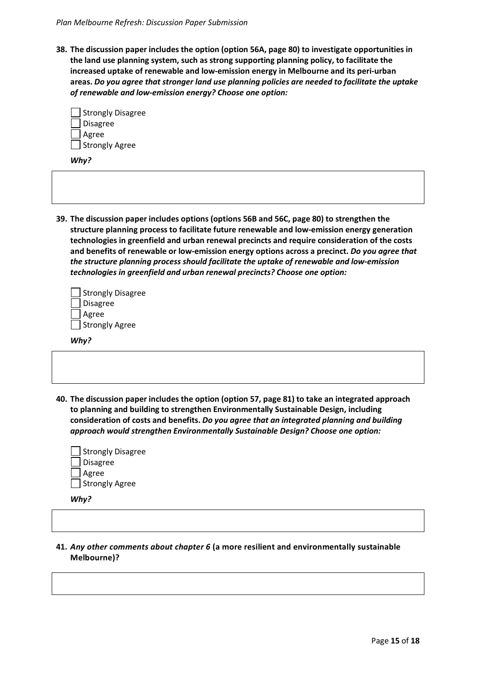**38. The discussion paper includes the option (option 56A, page 80) to investigate opportunities in the land use planning system, such as strong supporting planning policy, to facilitate the increased uptake of renewable and low-emission energy in Melbourne and its peri-urban areas.** *Do you agree that stronger land use planning policies are needed to facilitate the uptake of renewable and low-emission energy? Choose one option:*

| Strongly Disagree |  |
|-------------------|--|
| Disagree          |  |
| Agree             |  |
| Strongly Agree [  |  |

*Why?* 

**39. The discussion paper includes options (options 56B and 56C, page 80) to strengthen the structure planning process to facilitate future renewable and low-emission energy generation technologies in greenfield and urban renewal precincts and require consideration of the costs and benefits of renewable or low-emission energy options across a precinct.** *Do you agree that the structure planning process should facilitate the uptake of renewable and low-emission technologies in greenfield and urban renewal precincts? Choose one option:*

| Strongly Disagree |
|-------------------|
| Disagree          |
| ∣ Agree           |
| Strongly Agree    |

*Why?* 

**40. The discussion paper includes the option (option 57, page 81) to take an integrated approach to planning and building to strengthen Environmentally Sustainable Design, including consideration of costs and benefits.** *Do you agree that an integrated planning and building approach would strengthen Environmentally Sustainable Design? Choose one option:*

| Strongly Disagree |
|-------------------|
| <b>Disagree</b>   |
| Agree             |
| Strongly Agree [  |

*Why?* 

**41.** *Any other comments about chapter 6* **(a more resilient and environmentally sustainable Melbourne)?**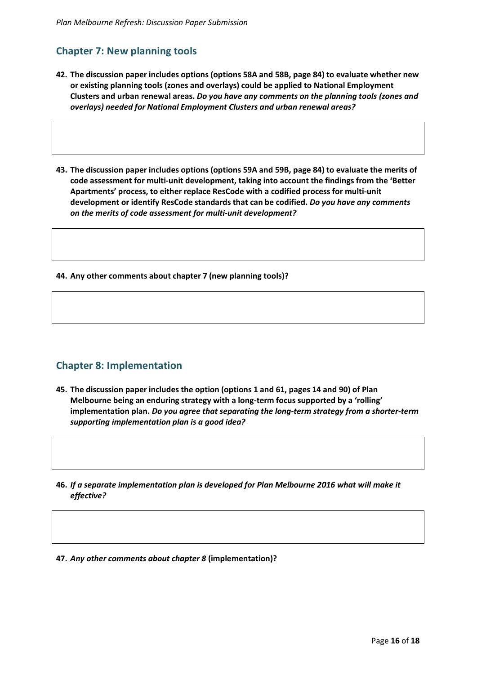# **Chapter 7: New planning tools**

- **42. The discussion paper includes options (options 58A and 58B, page 84) to evaluate whether new or existing planning tools (zones and overlays) could be applied to National Employment Clusters and urban renewal areas.** *Do you have any comments on the planning tools (zones and overlays) needed for National Employment Clusters and urban renewal areas?*
- **43. The discussion paper includes options (options 59A and 59B, page 84) to evaluate the merits of code assessment for multi-unit development, taking into account the findings from the 'Better Apartments' process, to either replace ResCode with a codified process for multi-unit development or identify ResCode standards that can be codified.** *Do you have any comments on the merits of code assessment for multi-unit development?*

**44. Any other comments about chapter 7 (new planning tools)?** 

## **Chapter 8: Implementation**

- **45. The discussion paper includes the option (options 1 and 61, pages 14 and 90) of Plan Melbourne being an enduring strategy with a long-term focus supported by a 'rolling' implementation plan.** *Do you agree that separating the long-term strategy from a shorter-term supporting implementation plan is a good idea?*
- **46.** *If a separate implementation plan is developed for Plan Melbourne 2016 what will make it effective?*
- **47.** *Any other comments about chapter 8* **(implementation)?**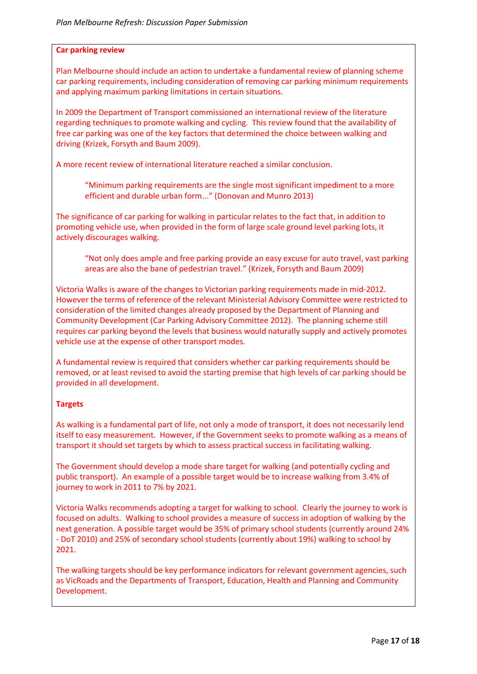#### **Car parking review**

Plan Melbourne should include an action to undertake a fundamental review of planning scheme car parking requirements, including consideration of removing car parking minimum requirements and applying maximum parking limitations in certain situations.

In 2009 the Department of Transport commissioned an international review of the literature regarding techniques to promote walking and cycling. This review found that the availability of free car parking was one of the key factors that determined the choice between walking and driving (Krizek, Forsyth and Baum 2009).

A more recent review of international literature reached a similar conclusion.

"Minimum parking requirements are the single most significant impediment to a more efficient and durable urban form..." (Donovan and Munro 2013)

The significance of car parking for walking in particular relates to the fact that, in addition to promoting vehicle use, when provided in the form of large scale ground level parking lots, it actively discourages walking.

"Not only does ample and free parking provide an easy excuse for auto travel, vast parking areas are also the bane of pedestrian travel." (Krizek, Forsyth and Baum 2009)

Victoria Walks is aware of the changes to Victorian parking requirements made in mid-2012. However the terms of reference of the relevant Ministerial Advisory Committee were restricted to consideration of the limited changes already proposed by the Department of Planning and Community Development (Car Parking Advisory Committee 2012). The planning scheme still requires car parking beyond the levels that business would naturally supply and actively promotes vehicle use at the expense of other transport modes.

A fundamental review is required that considers whether car parking requirements should be removed, or at least revised to avoid the starting premise that high levels of car parking should be provided in all development.

#### **Targets**

As walking is a fundamental part of life, not only a mode of transport, it does not necessarily lend itself to easy measurement. However, if the Government seeks to promote walking as a means of transport it should set targets by which to assess practical success in facilitating walking.

The Government should develop a mode share target for walking (and potentially cycling and public transport). An example of a possible target would be to increase walking from 3.4% of journey to work in 2011 to 7% by 2021.

Victoria Walks recommends adopting a target for walking to school. Clearly the journey to work is focused on adults. Walking to school provides a measure of success in adoption of walking by the next generation. A possible target would be 35% of primary school students (currently around 24% - DoT 2010) and 25% of secondary school students (currently about 19%) walking to school by 2021.

The walking targets should be key performance indicators for relevant government agencies, such as VicRoads and the Departments of Transport, Education, Health and Planning and Community Development.